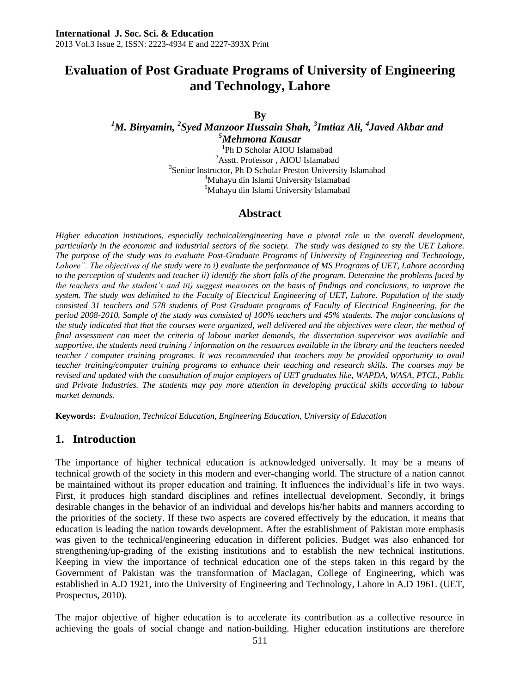# **Evaluation of Post Graduate Programs of University of Engineering and Technology, Lahore**

**By**

*<sup>1</sup>M. Binyamin, <sup>2</sup> Syed Manzoor Hussain Shah, <sup>3</sup> Imtiaz Ali, <sup>4</sup> Javed Akbar and <sup>5</sup>Mehmona Kausar*

1 Ph D Scholar AIOU Islamabad  $^2\!$  Asstt. Professor , AIOU Islamabad <sup>3</sup>Senior Instructor, Ph D Scholar Preston University Islamabad <sup>4</sup>Muhayu din Islami University Islamabad <sup>5</sup>Muhayu din Islami University Islamabad

### **Abstract**

*Higher education institutions, especially technical/engineering have a pivotal role in the overall development, particularly in the economic and industrial sectors of the society. The study was designed to sty the UET Lahore. The purpose of the study was to evaluate Post-Graduate Programs of University of Engineering and Technology, Lahore". The objectives of the study were to i) evaluate the performance of MS Programs of UET, Lahore according to the perception of students and teacher ii) identify the short falls of the program. Determine the problems faced by the teachers and the student's and iii) suggest measures on the basis of findings and conclusions, to improve the system. The study was delimited to the Faculty of Electrical Engineering of UET, Lahore. Population of the study consisted 31 teachers and 578 students of Post Graduate programs of Faculty of Electrical Engineering, for the period 2008-2010. Sample of the study was consisted of 100% teachers and 45% students. The major conclusions of the study indicated that that the courses were organized, well delivered and the objectives were clear, the method of final assessment can meet the criteria of labour market demands, the dissertation supervisor was available and supportive, the students need training / information on the resources available in the library and the teachers needed teacher / computer training programs. It was recommended that teachers may be provided opportunity to avail teacher training/computer training programs to enhance their teaching and research skills. The courses may be revised and updated with the consultation of major employers of UET graduates like, WAPDA, WASA, PTCL, Public and Private Industries. The students may pay more attention in developing practical skills according to labour market demands.*

**Keywords:** *Evaluation, Technical Education, Engineering Education, University of Education*

## **1. Introduction**

The importance of higher technical education is acknowledged universally. It may be a means of technical growth of the society in this modern and ever-changing world. The structure of a nation cannot be maintained without its proper education and training. It influences the individual's life in two ways. First, it produces high standard disciplines and refines intellectual development. Secondly, it brings desirable changes in the behavior of an individual and develops his/her habits and manners according to the priorities of the society. If these two aspects are covered effectively by the education, it means that education is leading the nation towards development. After the establishment of Pakistan more emphasis was given to the technical/engineering education in different policies. Budget was also enhanced for strengthening/up-grading of the existing institutions and to establish the new technical institutions. Keeping in view the importance of technical education one of the steps taken in this regard by the Government of Pakistan was the transformation of Maclagan, College of Engineering, which was established in A.D 1921, into the University of Engineering and Technology, Lahore in A.D 1961. (UET, Prospectus, 2010).

The major objective of higher education is to accelerate its contribution as a collective resource in achieving the goals of social change and nation-building. Higher education institutions are therefore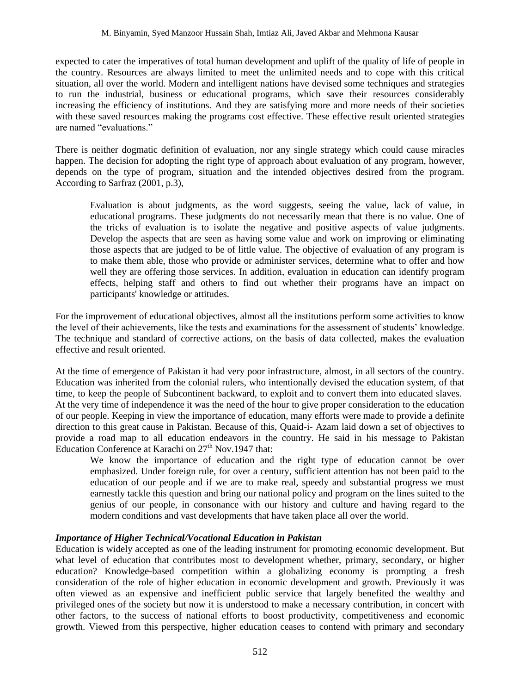expected to cater the imperatives of total human development and uplift of the quality of life of people in the country. Resources are always limited to meet the unlimited needs and to cope with this critical situation, all over the world. Modern and intelligent nations have devised some techniques and strategies to run the industrial, business or educational programs, which save their resources considerably increasing the efficiency of institutions. And they are satisfying more and more needs of their societies with these saved resources making the programs cost effective. These effective result oriented strategies are named "evaluations."

There is neither dogmatic definition of evaluation, nor any single strategy which could cause miracles happen. The decision for adopting the right type of approach about evaluation of any program, however, depends on the type of program, situation and the intended objectives desired from the program. According to Sarfraz (2001, p.3),

Evaluation is about judgments, as the word suggests, seeing the value, lack of value, in educational programs. These judgments do not necessarily mean that there is no value. One of the tricks of evaluation is to isolate the negative and positive aspects of value judgments. Develop the aspects that are seen as having some value and work on improving or eliminating those aspects that are judged to be of little value. The objective of evaluation of any program is to make them able, those who provide or administer services, determine what to offer and how well they are offering those services. In addition, evaluation in education can identify program effects, helping staff and others to find out whether their programs have an impact on participants' knowledge or attitudes.

For the improvement of educational objectives, almost all the institutions perform some activities to know the level of their achievements, like the tests and examinations for the assessment of students' knowledge. The technique and standard of corrective actions, on the basis of data collected, makes the evaluation effective and result oriented.

At the time of emergence of Pakistan it had very poor infrastructure, almost, in all sectors of the country. Education was inherited from the colonial rulers, who intentionally devised the education system, of that time, to keep the people of Subcontinent backward, to exploit and to convert them into educated slaves. At the very time of independence it was the need of the hour to give proper consideration to the education of our people. Keeping in view the importance of education, many efforts were made to provide a definite direction to this great cause in Pakistan. Because of this, Quaid-i- Azam laid down a set of objectives to provide a road map to all education endeavors in the country. He said in his message to Pakistan Education Conference at Karachi on  $27<sup>th</sup>$  Nov.1947 that:

We know the importance of education and the right type of education cannot be over emphasized. Under foreign rule, for over a century, sufficient attention has not been paid to the education of our people and if we are to make real, speedy and substantial progress we must earnestly tackle this question and bring our national policy and program on the lines suited to the genius of our people, in consonance with our history and culture and having regard to the modern conditions and vast developments that have taken place all over the world.

#### *Importance of Higher Technical/Vocational Education in Pakistan*

Education is widely accepted as one of the leading instrument for promoting economic development. But what level of education that contributes most to development whether, primary, secondary, or higher education? Knowledge-based competition within a globalizing economy is prompting a fresh consideration of the role of higher education in economic development and growth. Previously it was often viewed as an expensive and inefficient public service that largely benefited the wealthy and privileged ones of the society but now it is understood to make a necessary contribution, in concert with other factors, to the success of national efforts to boost productivity, competitiveness and economic growth. Viewed from this perspective, higher education ceases to contend with primary and secondary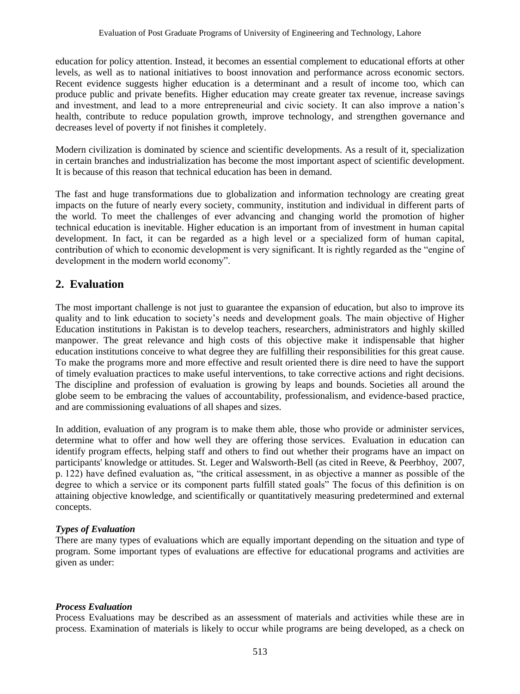education for policy attention. Instead, it becomes an essential complement to educational efforts at other levels, as well as to national initiatives to boost innovation and performance across economic sectors. Recent evidence suggests higher education is a determinant and a result of income too, which can produce public and private benefits. Higher education may create greater tax revenue, increase savings and investment, and lead to a more entrepreneurial and civic society. It can also improve a nation's health, contribute to reduce population growth, improve technology, and strengthen governance and decreases level of poverty if not finishes it completely.

Modern civilization is dominated by science and scientific developments. As a result of it, specialization in certain branches and industrialization has become the most important aspect of scientific development. It is because of this reason that technical education has been in demand.

The fast and huge transformations due to globalization and information technology are creating great impacts on the future of nearly every society, community, institution and individual in different parts of the world. To meet the challenges of ever advancing and changing world the promotion of higher technical education is inevitable. Higher education is an important from of investment in human capital development. In fact, it can be regarded as a high level or a specialized form of human capital, contribution of which to economic development is very significant. It is rightly regarded as the "engine of development in the modern world economy".

## **2. Evaluation**

The most important challenge is not just to guarantee the expansion of education, but also to improve its quality and to link education to society's needs and development goals. The main objective of Higher Education institutions in Pakistan is to develop teachers, researchers, administrators and highly skilled manpower. The great relevance and high costs of this objective make it indispensable that higher education institutions conceive to what degree they are fulfilling their responsibilities for this great cause. To make the programs more and more effective and result oriented there is dire need to have the support of timely evaluation practices to make useful interventions, to take corrective actions and right decisions. The discipline and profession of evaluation is growing by leaps and bounds. Societies all around the globe seem to be embracing the values of accountability, professionalism, and evidence-based practice, and are commissioning evaluations of all shapes and sizes.

In addition, evaluation of any program is to make them able, those who provide or administer services, determine what to offer and how well they are offering those services. Evaluation in education can identify program effects, helping staff and others to find out whether their programs have an impact on participants' knowledge or attitudes. St. Leger and Walsworth-Bell (as cited in Reeve, & Peerbhoy, 2007, p. 122) have defined evaluation as, "the critical assessment, in as objective a manner as possible of the degree to which a service or its component parts fulfill stated goals" The focus of this definition is on attaining objective knowledge, and scientifically or quantitatively measuring predetermined and external concepts.

## *Types of Evaluation*

There are many types of evaluations which are equally important depending on the situation and type of program. Some important types of evaluations are effective for educational programs and activities are given as under:

### *Process Evaluation*

Process Evaluations may be described as an assessment of materials and activities while these are in process. Examination of materials is likely to occur while programs are being developed, as a check on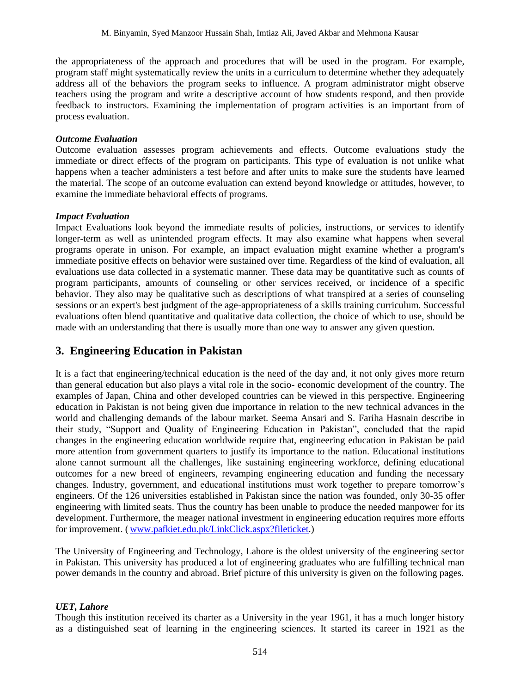the appropriateness of the approach and procedures that will be used in the program. For example, program staff might systematically review the units in a curriculum to determine whether they adequately address all of the behaviors the program seeks to influence. A program administrator might observe teachers using the program and write a descriptive account of how students respond, and then provide feedback to instructors. Examining the implementation of program activities is an important from of process evaluation.

#### *Outcome Evaluation*

Outcome evaluation assesses program achievements and effects. Outcome evaluations study the immediate or direct effects of the program on participants. This type of evaluation is not unlike what happens when a teacher administers a test before and after units to make sure the students have learned the material. The scope of an outcome evaluation can extend beyond knowledge or attitudes, however, to examine the immediate behavioral effects of programs.

#### *Impact Evaluation*

Impact Evaluations look beyond the immediate results of policies, instructions, or services to identify longer-term as well as unintended program effects. It may also examine what happens when several programs operate in unison. For example, an impact evaluation might examine whether a program's immediate positive effects on behavior were sustained over time. Regardless of the kind of evaluation, all evaluations use data collected in a systematic manner. These data may be quantitative such as counts of program participants, amounts of counseling or other services received, or incidence of a specific behavior. They also may be qualitative such as descriptions of what transpired at a series of counseling sessions or an expert's best judgment of the age-appropriateness of a skills training curriculum. Successful evaluations often blend quantitative and qualitative data collection, the choice of which to use, should be made with an understanding that there is usually more than one way to answer any given question.

## **3. Engineering Education in Pakistan**

It is a fact that engineering/technical education is the need of the day and, it not only gives more return than general education but also plays a vital role in the socio- economic development of the country. The examples of Japan, China and other developed countries can be viewed in this perspective. Engineering education in Pakistan is not being given due importance in relation to the new technical advances in the world and challenging demands of the labour market*.* Seema Ansari and S. Fariha Hasnain describe in their study, "Support and Quality of Engineering Education in Pakistan", concluded that the rapid changes in the engineering education worldwide require that, engineering education in Pakistan be paid more attention from government quarters to justify its importance to the nation. Educational institutions alone cannot surmount all the challenges, like sustaining engineering workforce, defining educational outcomes for a new breed of engineers, revamping engineering education and funding the necessary changes. Industry, government, and educational institutions must work together to prepare tomorrow's engineers. Of the 126 universities established in Pakistan since the nation was founded, only 30-35 offer engineering with limited seats. Thus the country has been unable to produce the needed manpower for its development. Furthermore, the meager national investment in engineering education requires more efforts for improvement. ( [www.pafkiet.edu.pk/LinkClick.aspx?fileticket.](http://www.pafkiet.edu.pk/LinkClick.aspx?fileticket))

The University of Engineering and Technology, Lahore is the oldest university of the engineering sector in Pakistan. This university has produced a lot of engineering graduates who are fulfilling technical man power demands in the country and abroad. Brief picture of this university is given on the following pages.

#### *UET, Lahore*

Though this institution received its charter as a University in the year 1961, it has a much longer history as a distinguished seat of learning in the engineering sciences. It started its career in 1921 as the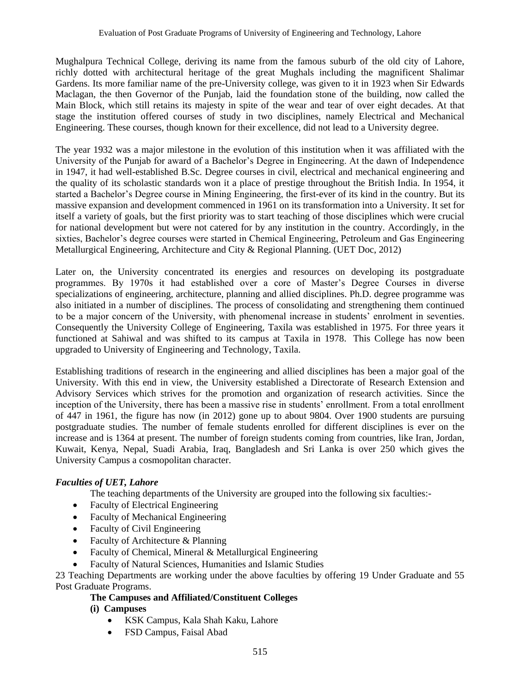Mughalpura Technical College, deriving its name from the famous suburb of the old city of Lahore, richly dotted with architectural heritage of the great Mughals including the magnificent Shalimar Gardens. Its more familiar name of the pre-University college, was given to it in 1923 when Sir Edwards Maclagan, the then Governor of the Punjab, laid the foundation stone of the building, now called the Main Block, which still retains its majesty in spite of the wear and tear of over eight decades. At that stage the institution offered courses of study in two disciplines, namely Electrical and Mechanical Engineering. These courses, though known for their excellence, did not lead to a University degree.

The year 1932 was a major milestone in the evolution of this institution when it was affiliated with the University of the Punjab for award of a Bachelor's Degree in Engineering. At the dawn of Independence in 1947, it had well-established B.Sc. Degree courses in civil, electrical and mechanical engineering and the quality of its scholastic standards won it a place of prestige throughout the British India. In 1954, it started a Bachelor's Degree course in Mining Engineering, the first-ever of its kind in the country. But its massive expansion and development commenced in 1961 on its transformation into a University. It set for itself a variety of goals, but the first priority was to start teaching of those disciplines which were crucial for national development but were not catered for by any institution in the country. Accordingly, in the sixties, Bachelor's degree courses were started in Chemical Engineering, Petroleum and Gas Engineering Metallurgical Engineering, Architecture and City & Regional Planning. (UET Doc, 2012)

Later on, the University concentrated its energies and resources on developing its postgraduate programmes. By 1970s it had established over a core of Master's Degree Courses in diverse specializations of engineering, architecture, planning and allied disciplines. Ph.D. degree programme was also initiated in a number of disciplines. The process of consolidating and strengthening them continued to be a major concern of the University, with phenomenal increase in students' enrolment in seventies. Consequently the University College of Engineering, Taxila was established in 1975. For three years it functioned at Sahiwal and was shifted to its campus at Taxila in 1978. This College has now been upgraded to University of Engineering and Technology, Taxila.

Establishing traditions of research in the engineering and allied disciplines has been a major goal of the University. With this end in view, the University established a Directorate of Research Extension and Advisory Services which strives for the promotion and organization of research activities. Since the inception of the University, there has been a massive rise in students' enrollment. From a total enrollment of 447 in 1961, the figure has now (in 2012) gone up to about 9804. Over 1900 students are pursuing postgraduate studies. The number of female students enrolled for different disciplines is ever on the increase and is 1364 at present. The number of foreign students coming from countries, like Iran, Jordan, Kuwait, Kenya, Nepal, Suadi Arabia, Iraq, Bangladesh and Sri Lanka is over 250 which gives the University Campus a cosmopolitan character.

## *Faculties of UET, Lahore*

The teaching departments of the University are grouped into the following six faculties:-

- Faculty of Electrical Engineering
- Faculty of Mechanical Engineering
- Faculty of Civil Engineering
- Faculty of Architecture & Planning
- Faculty of Chemical, Mineral & Metallurgical Engineering
- Faculty of Natural Sciences, Humanities and Islamic Studies

23 Teaching Departments are working under the above faculties by offering 19 Under Graduate and 55 Post Graduate Programs.

## **The Campuses and Affiliated/Constituent Colleges**

## **(i) Campuses**

- KSK Campus, Kala Shah Kaku, Lahore
- FSD Campus, Faisal Abad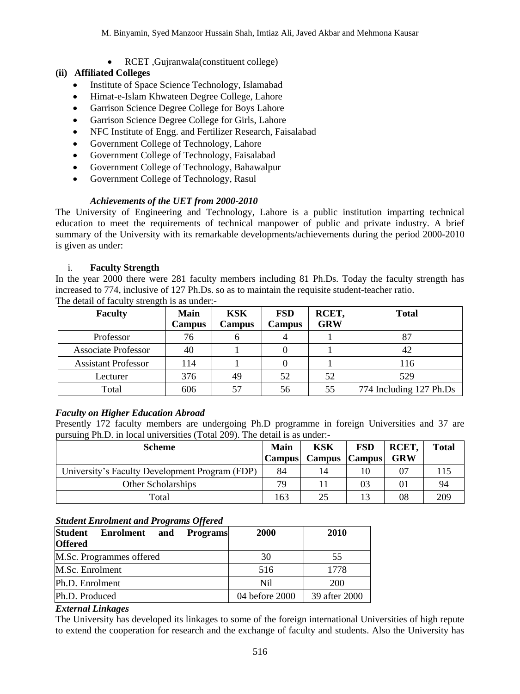• RCET ,Gujranwala(constituent college)

### **(ii) Affiliated Colleges**

- Institute of Space Science Technology, Islamabad
- Himat-e-Islam Khwateen Degree College, Lahore
- Garrison Science Degree College for Boys Lahore
- Garrison Science Degree College for Girls, Lahore
- NFC Institute of Engg. and Fertilizer Research, Faisalabad
- Government College of Technology, Lahore
- Government College of Technology, Faisalabad
- Government College of Technology, Bahawalpur
- Government College of Technology, Rasul

#### *Achievements of the UET from 2000-2010*

The University of Engineering and Technology, Lahore is a public institution imparting technical education to meet the requirements of technical manpower of public and private industry. A brief summary of the University with its remarkable developments/achievements during the period 2000-2010 is given as under:

#### i. **Faculty Strength**

In the year 2000 there were 281 faculty members including 81 Ph.Ds. Today the faculty strength has increased to 774, inclusive of 127 Ph.Ds. so as to maintain the requisite student-teacher ratio. The detail of faculty strength is as under:-

| <b>Faculty</b>             | Main<br>Campus | <b>KSK</b><br><b>Campus</b> | <b>FSD</b><br>Campus | RCET,<br><b>GRW</b> | <b>Total</b>            |
|----------------------------|----------------|-----------------------------|----------------------|---------------------|-------------------------|
| Professor                  | 76             |                             |                      |                     | 87                      |
| <b>Associate Professor</b> | 40             |                             |                      |                     | 42                      |
| <b>Assistant Professor</b> | 114            |                             |                      |                     | 116                     |
| Lecturer                   | 376            | 49                          | 52                   | 52                  | 529                     |
| Total                      | 606            | 57                          | 56                   | 55                  | 774 Including 127 Ph.Ds |

## *Faculty on Higher Education Abroad*

Presently 172 faculty members are undergoing Ph.D programme in foreign Universities and 37 are pursuing Ph.D. in local universities (Total 209). The detail is as under:-

| <b>Scheme</b>                                  |               | KSK             | <b>FSD</b> | RCET,      | <b>Total</b> |
|------------------------------------------------|---------------|-----------------|------------|------------|--------------|
|                                                | <b>Campus</b> | Campus   Campus |            | <b>GRW</b> |              |
| University's Faculty Development Program (FDP) | 84            | 14              |            |            |              |
| Other Scholarships                             | 79            |                 | 03         | 01         | 94           |
| Total                                          | 163           | 25              |            | 08         | 209          |

#### *Student Enrolment and Programs Offered*

| $\cdot$<br><b>Student</b><br><b>Enrolment</b><br>and<br><b>Programs</b><br><b>Offered</b> | 2000           | 2010          |
|-------------------------------------------------------------------------------------------|----------------|---------------|
| M.Sc. Programmes offered                                                                  | 30             | 55            |
| M.Sc. Enrolment                                                                           | 516            | 1778          |
| Ph.D. Enrolment                                                                           | Nil            | 200           |
| Ph.D. Produced                                                                            | 04 before 2000 | 39 after 2000 |

#### *External Linkages*

The University has developed its linkages to some of the foreign international Universities of high repute to extend the cooperation for research and the exchange of faculty and students. Also the University has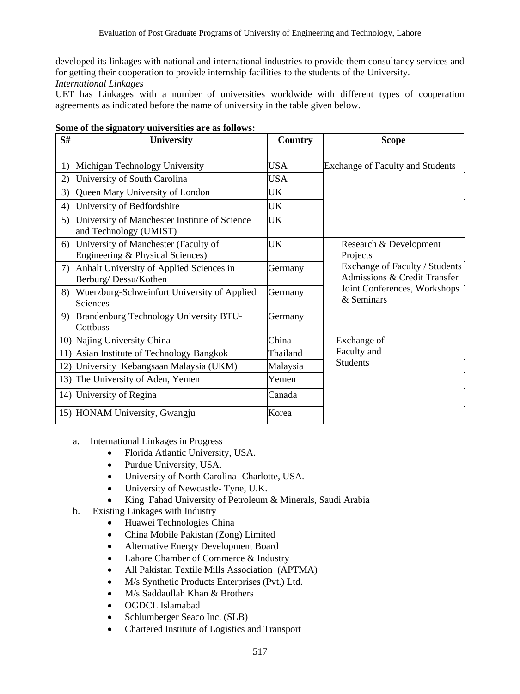developed its linkages with national and international industries to provide them consultancy services and for getting their cooperation to provide internship facilities to the students of the University.

#### *International Linkages*

UET has Linkages with a number of universities worldwide with different types of cooperation agreements as indicated before the name of university in the table given below.

| S# | <b>University</b>                                                        | Country    | <b>Scope</b>                                                   |  |  |  |  |  |
|----|--------------------------------------------------------------------------|------------|----------------------------------------------------------------|--|--|--|--|--|
| 1) | Michigan Technology University                                           | USA.       | <b>Exchange of Faculty and Students</b>                        |  |  |  |  |  |
| 2) | University of South Carolina                                             | <b>USA</b> |                                                                |  |  |  |  |  |
| 3) | Queen Mary University of London                                          | UK         |                                                                |  |  |  |  |  |
| 4) | University of Bedfordshire                                               | UK         |                                                                |  |  |  |  |  |
| 5) | University of Manchester Institute of Science<br>and Technology (UMIST)  | UK         |                                                                |  |  |  |  |  |
| 6) | University of Manchester (Faculty of<br>Engineering & Physical Sciences) | UK         | Research & Development<br>Projects                             |  |  |  |  |  |
| 7) | Anhalt University of Applied Sciences in<br>Berburg/Dessu/Kothen         | Germany    | Exchange of Faculty / Students<br>Admissions & Credit Transfer |  |  |  |  |  |
| 8) | Wuerzburg-Schweinfurt University of Applied<br>Sciences                  | Germany    | Joint Conferences, Workshops<br>& Seminars                     |  |  |  |  |  |
|    | 9) Brandenburg Technology University BTU-<br>Cottbuss                    | Germany    |                                                                |  |  |  |  |  |
|    | 10) Najing University China                                              | China      | Exchange of                                                    |  |  |  |  |  |
|    | 11) Asian Institute of Technology Bangkok                                | Thailand   | Faculty and                                                    |  |  |  |  |  |
|    | 12) University Kebangsaan Malaysia (UKM)                                 | Malaysia   | <b>Students</b>                                                |  |  |  |  |  |
|    | 13) The University of Aden, Yemen                                        | Yemen      |                                                                |  |  |  |  |  |
|    | 14) University of Regina                                                 | Canada     |                                                                |  |  |  |  |  |
|    | 15) HONAM University, Gwangju                                            | Korea      |                                                                |  |  |  |  |  |

- a. International Linkages in Progress
	- Florida Atlantic University, USA.
	- Purdue University, USA.
	- University of North Carolina- Charlotte, USA.
	- University of Newcastle- Tyne, U.K.
	- King Fahad University of Petroleum & Minerals, Saudi Arabia
- b. Existing Linkages with Industry
	- Huawei Technologies China
	- China Mobile Pakistan (Zong) Limited
	- Alternative Energy Development Board
	- Lahore Chamber of Commerce & Industry
	- All Pakistan Textile Mills Association (APTMA)
	- M/s Synthetic Products Enterprises (Pvt.) Ltd.
	- M/s Saddaullah Khan & Brothers
	- OGDCL Islamabad
	- Schlumberger Seaco Inc. (SLB)
	- Chartered Institute of Logistics and Transport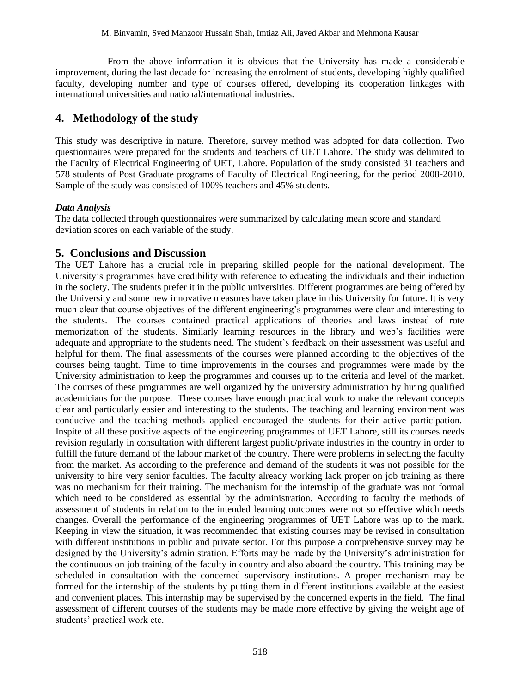From the above information it is obvious that the University has made a considerable improvement, during the last decade for increasing the enrolment of students, developing highly qualified faculty, developing number and type of courses offered, developing its cooperation linkages with international universities and national/international industries.

## **4. Methodology of the study**

This study was descriptive in nature. Therefore, survey method was adopted for data collection. Two questionnaires were prepared for the students and teachers of UET Lahore. The study was delimited to the Faculty of Electrical Engineering of UET, Lahore. Population of the study consisted 31 teachers and 578 students of Post Graduate programs of Faculty of Electrical Engineering, for the period 2008-2010. Sample of the study was consisted of 100% teachers and 45% students.

### *Data Analysis*

The data collected through questionnaires were summarized by calculating mean score and standard deviation scores on each variable of the study.

## **5. Conclusions and Discussion**

The UET Lahore has a crucial role in preparing skilled people for the national development. The University's programmes have credibility with reference to educating the individuals and their induction in the society. The students prefer it in the public universities. Different programmes are being offered by the University and some new innovative measures have taken place in this University for future. It is very much clear that course objectives of the different engineering's programmes were clear and interesting to the students. The courses contained practical applications of theories and laws instead of rote memorization of the students. Similarly learning resources in the library and web's facilities were adequate and appropriate to the students need. The student's feedback on their assessment was useful and helpful for them. The final assessments of the courses were planned according to the objectives of the courses being taught. Time to time improvements in the courses and programmes were made by the University administration to keep the programmes and courses up to the criteria and level of the market. The courses of these programmes are well organized by the university administration by hiring qualified academicians for the purpose. These courses have enough practical work to make the relevant concepts clear and particularly easier and interesting to the students. The teaching and learning environment was conducive and the teaching methods applied encouraged the students for their active participation. Inspite of all these positive aspects of the engineering programmes of UET Lahore, still its courses needs revision regularly in consultation with different largest public/private industries in the country in order to fulfill the future demand of the labour market of the country. There were problems in selecting the faculty from the market. As according to the preference and demand of the students it was not possible for the university to hire very senior faculties. The faculty already working lack proper on job training as there was no mechanism for their training. The mechanism for the internship of the graduate was not formal which need to be considered as essential by the administration. According to faculty the methods of assessment of students in relation to the intended learning outcomes were not so effective which needs changes. Overall the performance of the engineering programmes of UET Lahore was up to the mark. Keeping in view the situation, it was recommended that existing courses may be revised in consultation with different institutions in public and private sector. For this purpose a comprehensive survey may be designed by the University's administration. Efforts may be made by the University's administration for the continuous on job training of the faculty in country and also aboard the country. This training may be scheduled in consultation with the concerned supervisory institutions. A proper mechanism may be formed for the internship of the students by putting them in different institutions available at the easiest and convenient places. This internship may be supervised by the concerned experts in the field. The final assessment of different courses of the students may be made more effective by giving the weight age of students' practical work etc.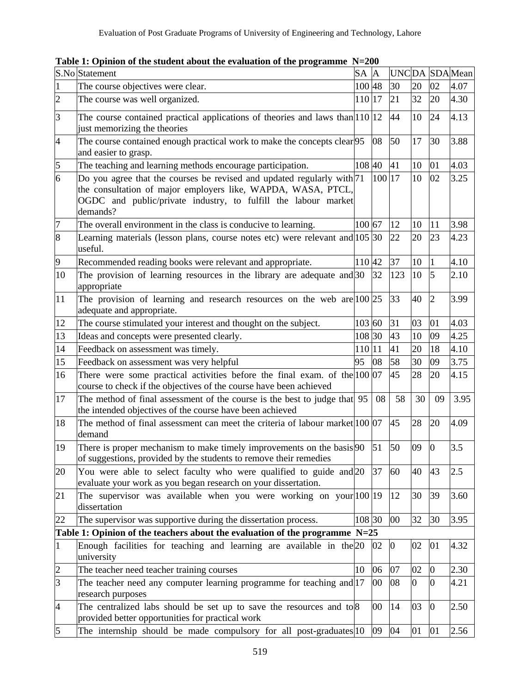|                | S.No Statement                                                                                                                                                                                                       | SA A   |        |                  |                  |              | UNCDA SDAMean |
|----------------|----------------------------------------------------------------------------------------------------------------------------------------------------------------------------------------------------------------------|--------|--------|------------------|------------------|--------------|---------------|
| 1              | The course objectives were clear.                                                                                                                                                                                    | 100 48 |        | 30               | 20               | 02           | 4.07          |
| $\overline{c}$ | The course was well organized.                                                                                                                                                                                       | 110 17 |        | 21               | 32               | 20           | 4.30          |
| $\vert$ 3      | The course contained practical applications of theories and laws than $ 110 12$<br>just memorizing the theories                                                                                                      |        |        | 44               | 10               | 24           | 4.13          |
| 4              | The course contained enough practical work to make the concepts clear 95<br>and easier to grasp.                                                                                                                     |        | 08     | 50               | 17               | 30           | 3.88          |
| 5              | The teaching and learning methods encourage participation.                                                                                                                                                           | 108 40 |        | 41               | 10               | 01           | 4.03          |
| 6              | Do you agree that the courses be revised and updated regularly with 71<br>the consultation of major employers like, WAPDA, WASA, PTCL,<br>OGDC and public/private industry, to fulfill the labour market<br>demands? |        | 100 17 |                  | 10               | 02           | 3.25          |
| 7              | The overall environment in the class is conducive to learning.                                                                                                                                                       | 100 67 |        | 12               | 10               | 11           | 3.98          |
| $\overline{8}$ | Learning materials (lesson plans, course notes etc) were relevant and 105 30<br>useful.                                                                                                                              |        |        | 22               | 20               | 23           | 4.23          |
| 9              | Recommended reading books were relevant and appropriate.                                                                                                                                                             | 110 42 |        | 37               | 10               | 1            | 4.10          |
| 10             | The provision of learning resources in the library are adequate and 30<br>appropriate                                                                                                                                |        | 32     | 123              | 10               | 5            | 2.10          |
| 11             | The provision of learning and research resources on the web are $ 100 25$<br>adequate and appropriate.                                                                                                               |        |        | 33               | 40               | 2            | 3.99          |
| 12             | The course stimulated your interest and thought on the subject.                                                                                                                                                      | 103 60 |        | 31               | 03               | 01           | 4.03          |
| 13             | Ideas and concepts were presented clearly.                                                                                                                                                                           | 108 30 |        | 43               | 10               | 09           | 4.25          |
| 14             | Feedback on assessment was timely.                                                                                                                                                                                   | 110 11 |        | 41               | 20               | 18           | 4.10          |
| 15             | Feedback on assessment was very helpful                                                                                                                                                                              | 95     | 08     | 58               | 30               | 09           | 3.75          |
| 16             | There were some practical activities before the final exam. of the $100\,07$<br>course to check if the objectives of the course have been achieved                                                                   |        |        | 45               | 28               | 20           | 4.15          |
| 17             | The method of final assessment of the course is the best to judge that 95<br>the intended objectives of the course have been achieved                                                                                |        | 08     | 58               | 30               | 09           | 3.95          |
| 18             | The method of final assessment can meet the criteria of labour market 100 07<br>demand                                                                                                                               |        |        | 45               | 28               | 20           | 4.09          |
| 19             | There is proper mechanism to make timely improvements on the basis 90<br>of suggestions, provided by the students to remove their remedies                                                                           |        | 51     | 50               | 09               | 0            | 3.5           |
| 20             | You were able to select faculty who were qualified to guide and 20<br>evaluate your work as you began research on your dissertation.                                                                                 |        | 37     | 60               | 40               | 43           | 2.5           |
| 21             | The supervisor was available when you were working on your $100 19 12$<br>dissertation                                                                                                                               |        |        |                  | 30               | 39           | 3.60          |
| 22             | The supervisor was supportive during the dissertation process.                                                                                                                                                       | 108 30 |        | 00               | 32               | 30           | 3.95          |
|                | Table 1: Opinion of the teachers about the evaluation of the programme $N=25$                                                                                                                                        |        |        |                  |                  |              |               |
| $\mathbf{1}$   | Enough facilities for teaching and learning are available in the 20<br>university                                                                                                                                    |        | 02     | $\boldsymbol{0}$ | 02               | 01           | 4.32          |
| $\overline{c}$ | The teacher need teacher training courses                                                                                                                                                                            | 10     | 06     | 07               | 02               | $\bf{0}$     | 2.30          |
| $\overline{3}$ | The teacher need any computer learning programme for teaching and 17<br>research purposes                                                                                                                            |        | 00     | 08               | $\boldsymbol{0}$ | 0            | 4.21          |
| 4              | The centralized labs should be set up to save the resources and to $\frac{8}{3}$<br>provided better opportunities for practical work                                                                                 |        | 00     | 14               | 03               | $\mathbf{0}$ | 2.50          |
| 5              | The internship should be made compulsory for all post-graduates 10                                                                                                                                                   |        | 09     | 04               | 01               | 01           | 2.56          |

**Table 1: Opinion of the student about the evaluation of the programme N=200**